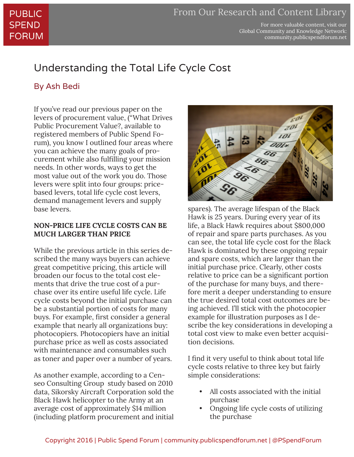For more valuable content, visit our Global Community and Knowledge Network: community.publicspendforum.net

# Understanding the Total Life Cycle Cost

### By Ash Bedi

If you've read our previous paper on the levers of procurement value, ("What Drives Public Procurement Value?, available to registered members of Public Spend Forum), you know I outlined four areas where you can achieve the many goals of procurement while also fulfilling your mission needs. In other words, ways to get the most value out of the work you do. Those levers were split into four groups: pricebased levers, total life cycle cost levers, demand management levers and supply base levers.

#### **NON-PRICE LIFE CYCLE COSTS CAN BE MUCH LARGER THAN PRICE**

While the previous article in this series described the many ways buyers can achieve great competitive pricing, this article will broaden our focus to the total cost elements that drive the true cost of a purchase over its entire useful life cycle. Life cycle costs beyond the initial purchase can be a substantial portion of costs for many buys. For example, first consider a general example that nearly all organizations buy: photocopiers. Photocopiers have an initial purchase price as well as costs associated with maintenance and consumables such as toner and paper over a number of years.

As another example, according to a Censeo Consulting Group study based on 2010 data, Sikorsky Aircraft Corporation sold the Black Hawk helicopter to the Army at an average cost of approximately \$14 million (including platform procurement and initial



spares). The average lifespan of the Black Hawk is 25 years. During every year of its life, a Black Hawk requires about \$800,000 of repair and spare parts purchases. As you can see, the total life cycle cost for the Black Hawk is dominated by these ongoing repair and spare costs, which are larger than the initial purchase price. Clearly, other costs relative to price can be a significant portion of the purchase for many buys, and therefore merit a deeper understanding to ensure the true desired total cost outcomes are being achieved. I'll stick with the photocopier example for illustration purposes as I describe the key considerations in developing a total cost view to make even better acquisition decisions.

I find it very useful to think about total life cycle costs relative to three key but fairly simple considerations:

- All costs associated with the initial purchase
- Ongoing life cycle costs of utilizing the purchase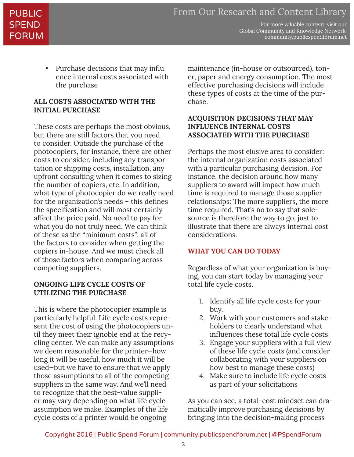For more valuable content, visit our Global Community and Knowledge Network: community.publicspendforum.net

• Purchase decisions that may influ ence internal costs associated with the purchase

#### **ALL COSTS ASSOCIATED WITH THE INITIAL PURCHASE**

These costs are perhaps the most obvious, but there are still factors that you need to consider. Outside the purchase of the photocopiers, for instance, there are other costs to consider, including any transportation or shipping costs, installation, any upfront consulting when it comes to sizing the number of copiers, etc. In addition, what type of photocopier do we really need for the organization's needs – this defines the specification and will most certainly affect the price paid. No need to pay for what you do not truly need. We can think of these as the "minimum costs": all of the factors to consider when getting the copiers in-house. And we must check all of those factors when comparing across competing suppliers.

#### **ONGOING LIFE CYCLE COSTS OF UTILIZING THE PURCHASE**

This is where the photocopier example is particularly helpful. Life cycle costs represent the cost of using the photocopiers until they meet their ignoble end at the recycling center. We can make any assumptions we deem reasonable for the printer—how long it will be useful, how much it will be used—but we have to ensure that we apply those assumptions to all of the competing suppliers in the same way. And we'll need to recognize that the best-value supplier may vary depending on what life cycle assumption we make. Examples of the life cycle costs of a printer would be ongoing

maintenance (in-house or outsourced), toner, paper and energy consumption. The most effective purchasing decisions will include these types of costs at the time of the purchase.

#### **ACQUISITION DECISIONS THAT MAY INFLUENCE INTERNAL COSTS ASSOCIATED WITH THE PURCHASE**

Perhaps the most elusive area to consider: the internal organization costs associated with a particular purchasing decision. For instance, the decision around how many suppliers to award will impact how much time is required to manage those supplier relationships: The more suppliers, the more time required. That's no to say that solesource is therefore the way to go, just to illustrate that there are always internal cost considerations.

#### **WHAT YOU CAN DO TODAY**

Regardless of what your organization is buying, you can start today by managing your total life cycle costs.

- 1. Identify all life cycle costs for your buy.
- 2. Work with your customers and stakeholders to clearly understand what influences these total life cycle costs
- 3. Engage your suppliers with a full view of these life cycle costs (and consider collaborating with your suppliers on how best to manage these costs)
- 4. Make sure to include life cycle costs as part of your solicitations

As you can see, a total-cost mindset can dramatically improve purchasing decisions by bringing into the decision-making process

Copyright 2016 | Public Spend Forum | community.publicspendforum.net | @PSpendForum